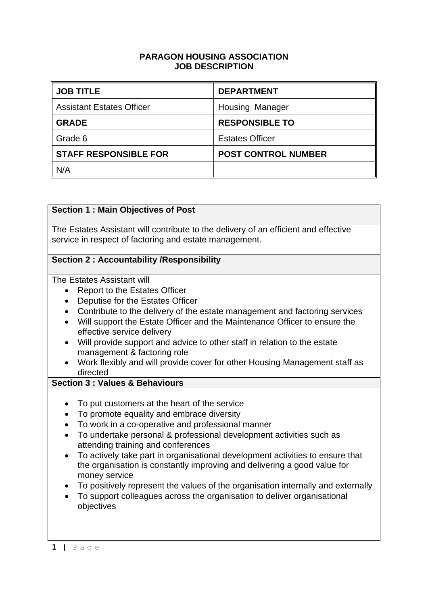### **PARAGON HOUSING ASSOCIATION JOB DESCRIPTION**

| <b>JOB TITLE</b>                 | <b>DEPARTMENT</b>          |
|----------------------------------|----------------------------|
| <b>Assistant Estates Officer</b> | <b>Housing Manager</b>     |
| <b>GRADE</b>                     | <b>RESPONSIBLE TO</b>      |
| Grade 6                          | <b>Estates Officer</b>     |
| <b>STAFF RESPONSIBLE FOR</b>     | <b>POST CONTROL NUMBER</b> |
| N/A                              |                            |

# **Section 1 : Main Objectives of Post**

The Estates Assistant will contribute to the delivery of an efficient and effective service in respect of factoring and estate management.

### **Section 2 : Accountability /Responsibility**

The Estates Assistant will

- Report to the Estates Officer
- Deputise for the Estates Officer
- Contribute to the delivery of the estate management and factoring services
- Will support the Estate Officer and the Maintenance Officer to ensure the effective service delivery
- Will provide support and advice to other staff in relation to the estate management & factoring role
- Work flexibly and will provide cover for other Housing Management staff as directed

#### **Section 3 : Values & Behaviours**

- To put customers at the heart of the service
- To promote equality and embrace diversity
- To work in a co-operative and professional manner
- To undertake personal & professional development activities such as attending training and conferences
- To actively take part in organisational development activities to ensure that the organisation is constantly improving and delivering a good value for money service
- To positively represent the values of the organisation internally and externally
- To support colleagues across the organisation to deliver organisational objectives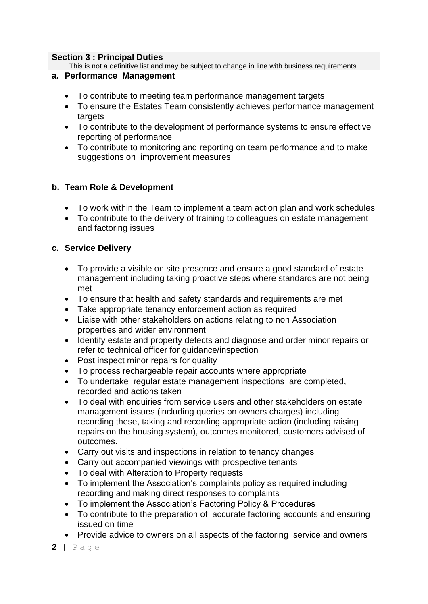### **Section 3 : Principal Duties**

This is not a definitive list and may be subject to change in line with business requirements.

# **a. Performance Management**

- To contribute to meeting team performance management targets
- To ensure the Estates Team consistently achieves performance management targets
- To contribute to the development of performance systems to ensure effective reporting of performance
- To contribute to monitoring and reporting on team performance and to make suggestions on improvement measures

### **b. Team Role & Development**

- To work within the Team to implement a team action plan and work schedules
- To contribute to the delivery of training to colleagues on estate management and factoring issues

#### **c. Service Delivery**

- To provide a visible on site presence and ensure a good standard of estate management including taking proactive steps where standards are not being met
- To ensure that health and safety standards and requirements are met
- Take appropriate tenancy enforcement action as required
- Liaise with other stakeholders on actions relating to non Association properties and wider environment
- Identify estate and property defects and diagnose and order minor repairs or refer to technical officer for guidance/inspection
- Post inspect minor repairs for quality
- To process rechargeable repair accounts where appropriate
- To undertake regular estate management inspections are completed, recorded and actions taken
- To deal with enquiries from service users and other stakeholders on estate management issues (including queries on owners charges) including recording these, taking and recording appropriate action (including raising repairs on the housing system), outcomes monitored, customers advised of outcomes.
- Carry out visits and inspections in relation to tenancy changes
- Carry out accompanied viewings with prospective tenants
- To deal with Alteration to Property requests
- To implement the Association's complaints policy as required including recording and making direct responses to complaints
- To implement the Association's Factoring Policy & Procedures
- To contribute to the preparation of accurate factoring accounts and ensuring issued on time
- Provide advice to owners on all aspects of the factoring service and owners